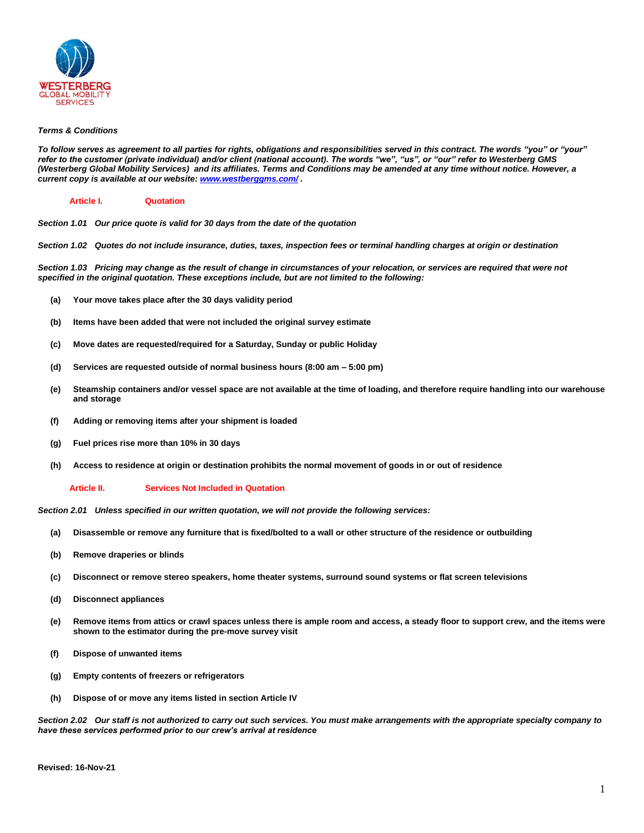

# *Terms & Conditions*

*To follow serves as agreement to all parties for rights, obligations and responsibilities served in this contract. The words "you" or "your" refer to the customer (private individual) and/or client (national account). The words "we", "us", or "our" refer to Westerberg GMS (Westerberg Global Mobility Services) and its affiliates. Terms and Conditions may be amended at any time without notice. However, a current copy is available at our website[: www.westberggms.com/](http://www.westberggms.com/) .*

# **Article I. Quotation**

*Section 1.01 Our price quote is valid for 30 days from the date of the quotation*

*Section 1.02 Quotes do not include insurance, duties, taxes, inspection fees or terminal handling charges at origin or destination*

*Section 1.03 Pricing may change as the result of change in circumstances of your relocation, or services are required that were not specified in the original quotation. These exceptions include, but are not limited to the following:*

- **(a) Your move takes place after the 30 days validity period**
- **(b) Items have been added that were not included the original survey estimate**
- **(c) Move dates are requested/required for a Saturday, Sunday or public Holiday**
- **(d) Services are requested outside of normal business hours (8:00 am – 5:00 pm)**
- **(e) Steamship containers and/or vessel space are not available at the time of loading, and therefore require handling into our warehouse and storage**
- **(f) Adding or removing items after your shipment is loaded**
- **(g) Fuel prices rise more than 10% in 30 days**
- **(h) Access to residence at origin or destination prohibits the normal movement of goods in or out of residence**

## **Article II. Services Not Included in Quotation**

*Section 2.01 Unless specified in our written quotation, we will not provide the following services:*

- **(a) Disassemble or remove any furniture that is fixed/bolted to a wall or other structure of the residence or outbuilding**
- **(b) Remove draperies or blinds**
- **(c) Disconnect or remove stereo speakers, home theater systems, surround sound systems or flat screen televisions**
- **(d) Disconnect appliances**
- **(e) Remove items from attics or crawl spaces unless there is ample room and access, a steady floor to support crew, and the items were shown to the estimator during the pre-move survey visit**
- **(f) Dispose of unwanted items**
- **(g) Empty contents of freezers or refrigerators**
- **(h) Dispose of or move any items listed in section Article IV**

*Section 2.02 Our staff is not authorized to carry out such services. You must make arrangements with the appropriate specialty company to have these services performed prior to our crew's arrival at residence*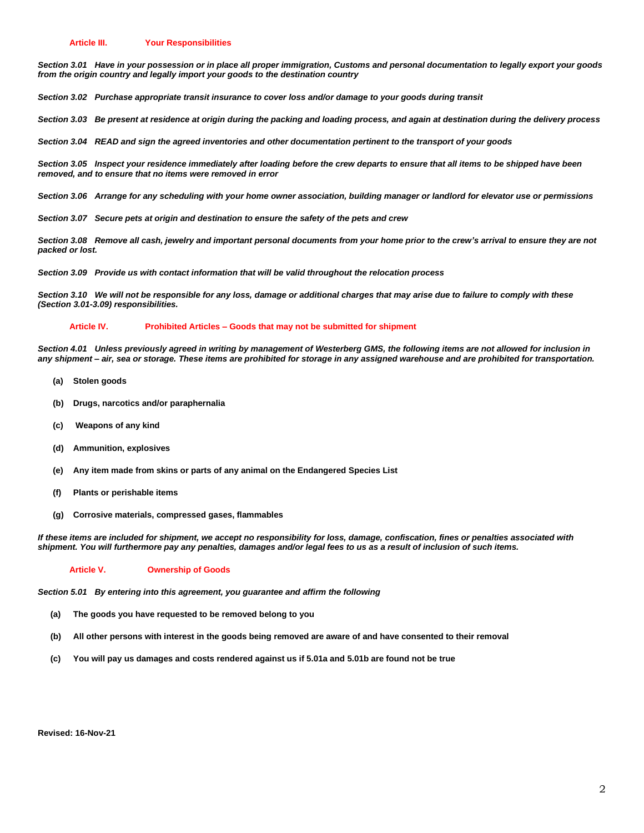*Section 3.01 Have in your possession or in place all proper immigration, Customs and personal documentation to legally export your goods from the origin country and legally import your goods to the destination country*

*Section 3.02 Purchase appropriate transit insurance to cover loss and/or damage to your goods during transit*

*Section 3.03 Be present at residence at origin during the packing and loading process, and again at destination during the delivery process*

*Section 3.04 READ and sign the agreed inventories and other documentation pertinent to the transport of your goods*

*Section 3.05 Inspect your residence immediately after loading before the crew departs to ensure that all items to be shipped have been removed, and to ensure that no items were removed in error*

*Section 3.06 Arrange for any scheduling with your home owner association, building manager or landlord for elevator use or permissions*

*Section 3.07 Secure pets at origin and destination to ensure the safety of the pets and crew*

*Section 3.08 Remove all cash, jewelry and important personal documents from your home prior to the crew's arrival to ensure they are not packed or lost.*

*Section 3.09 Provide us with contact information that will be valid throughout the relocation process*

*Section 3.10 We will not be responsible for any loss, damage or additional charges that may arise due to failure to comply with these (Section 3.01-3.09) responsibilities.* 

### **Article IV. Prohibited Articles – Goods that may not be submitted for shipment**

*Section 4.01 Unless previously agreed in writing by management of Westerberg GMS, the following items are not allowed for inclusion in any shipment – air, sea or storage. These items are prohibited for storage in any assigned warehouse and are prohibited for transportation.*

- **(a) Stolen goods**
- **(b) Drugs, narcotics and/or paraphernalia**
- **(c) Weapons of any kind**
- **(d) Ammunition, explosives**
- **(e) Any item made from skins or parts of any animal on the Endangered Species List**
- **(f) Plants or perishable items**
- **(g) Corrosive materials, compressed gases, flammables**

*If these items are included for shipment, we accept no responsibility for loss, damage, confiscation, fines or penalties associated with shipment. You will furthermore pay any penalties, damages and/or legal fees to us as a result of inclusion of such items.*

## **Article V. Ownership of Goods**

*Section 5.01 By entering into this agreement, you guarantee and affirm the following*

- **(a) The goods you have requested to be removed belong to you**
- **(b) All other persons with interest in the goods being removed are aware of and have consented to their removal**
- **(c) You will pay us damages and costs rendered against us if 5.01a and 5.01b are found not be true**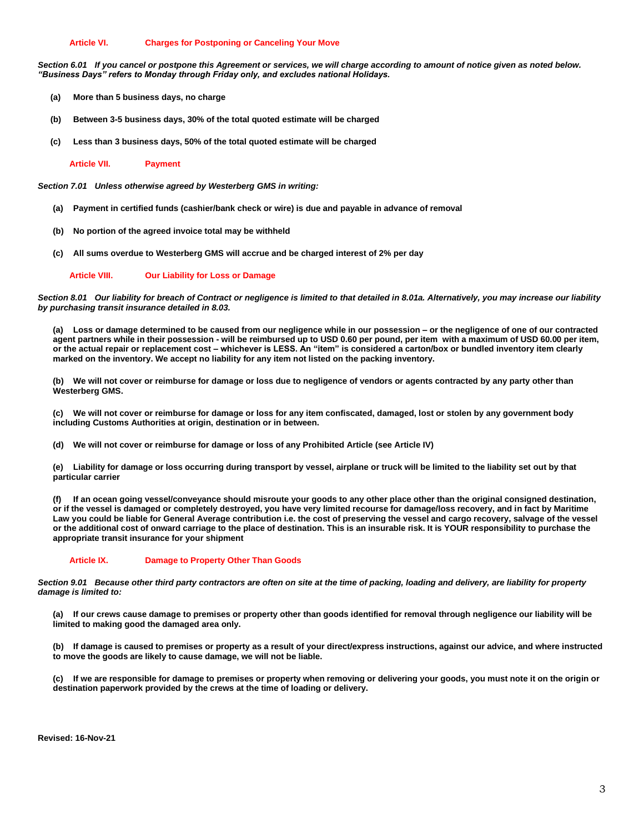# **Article VI. Charges for Postponing or Canceling Your Move**

Section 6.01 If you cancel or postpone this Agreement or services, we will charge according to amount of notice given as noted below. *"Business Days" refers to Monday through Friday only, and excludes national Holidays.*

- **(a) More than 5 business days, no charge**
- **(b) Between 3-5 business days, 30% of the total quoted estimate will be charged**
- **(c) Less than 3 business days, 50% of the total quoted estimate will be charged**

**Article VII. Payment**

*Section 7.01 Unless otherwise agreed by Westerberg GMS in writing:*

- **(a) Payment in certified funds (cashier/bank check or wire) is due and payable in advance of removal**
- **(b) No portion of the agreed invoice total may be withheld**
- **(c) All sums overdue to Westerberg GMS will accrue and be charged interest of 2% per day**

**Article VIII. Our Liability for Loss or Damage**

*Section 8.01 Our liability for breach of Contract or negligence is limited to that detailed in 8.01a. Alternatively, you may increase our liability by purchasing transit insurance detailed in 8.03.*

**(a) Loss or damage determined to be caused from our negligence while in our possession – or the negligence of one of our contracted agent partners while in their possession - will be reimbursed up to USD 0.60 per pound, per item with a maximum of USD 60.00 per item, or the actual repair or replacement cost – whichever is LESS. An "item" is considered a carton/box or bundled inventory item clearly marked on the inventory. We accept no liability for any item not listed on the packing inventory.**

**(b) We will not cover or reimburse for damage or loss due to negligence of vendors or agents contracted by any party other than Westerberg GMS.** 

**(c) We will not cover or reimburse for damage or loss for any item confiscated, damaged, lost or stolen by any government body including Customs Authorities at origin, destination or in between.**

**(d) We will not cover or reimburse for damage or loss of any Prohibited Article (see Article IV)**

**(e) Liability for damage or loss occurring during transport by vessel, airplane or truck will be limited to the liability set out by that particular carrier**

**(f) If an ocean going vessel/conveyance should misroute your goods to any other place other than the original consigned destination, or if the vessel is damaged or completely destroyed, you have very limited recourse for damage/loss recovery, and in fact by Maritime Law you could be liable for General Average contribution i.e. the cost of preserving the vessel and cargo recovery, salvage of the vessel or the additional cost of onward carriage to the place of destination. This is an insurable risk. It is YOUR responsibility to purchase the appropriate transit insurance for your shipment**

# **Article IX. Damage to Property Other Than Goods**

*Section 9.01 Because other third party contractors are often on site at the time of packing, loading and delivery, are liability for property damage is limited to:*

**(a) If our crews cause damage to premises or property other than goods identified for removal through negligence our liability will be limited to making good the damaged area only.**

**(b) If damage is caused to premises or property as a result of your direct/express instructions, against our advice, and where instructed to move the goods are likely to cause damage, we will not be liable.**

**(c) If we are responsible for damage to premises or property when removing or delivering your goods, you must note it on the origin or destination paperwork provided by the crews at the time of loading or delivery.** 

**Revised: 16-Nov-21**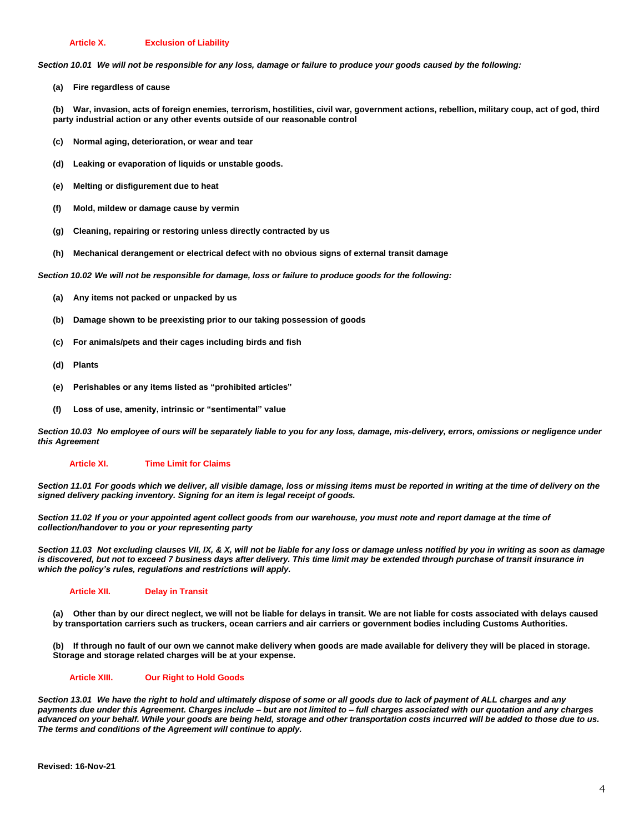## **Article X. Exclusion of Liability**

*Section 10.01 We will not be responsible for any loss, damage or failure to produce your goods caused by the following:*

**(a) Fire regardless of cause**

**(b) War, invasion, acts of foreign enemies, terrorism, hostilities, civil war, government actions, rebellion, military coup, act of god, third party industrial action or any other events outside of our reasonable control**

- **(c) Normal aging, deterioration, or wear and tear**
- **(d) Leaking or evaporation of liquids or unstable goods.**
- **(e) Melting or disfigurement due to heat**
- **(f) Mold, mildew or damage cause by vermin**
- **(g) Cleaning, repairing or restoring unless directly contracted by us**
- **(h) Mechanical derangement or electrical defect with no obvious signs of external transit damage**

*Section 10.02 We will not be responsible for damage, loss or failure to produce goods for the following:*

- **(a) Any items not packed or unpacked by us**
- **(b) Damage shown to be preexisting prior to our taking possession of goods**
- **(c) For animals/pets and their cages including birds and fish**
- **(d) Plants**
- **(e) Perishables or any items listed as "prohibited articles"**
- **(f) Loss of use, amenity, intrinsic or "sentimental" value**

*Section 10.03 No employee of ours will be separately liable to you for any loss, damage, mis-delivery, errors, omissions or negligence under this Agreement*

### **Article XI. Time Limit for Claims**

*Section 11.01 For goods which we deliver, all visible damage, loss or missing items must be reported in writing at the time of delivery on the signed delivery packing inventory. Signing for an item is legal receipt of goods.*

*Section 11.02 If you or your appointed agent collect goods from our warehouse, you must note and report damage at the time of collection/handover to you or your representing party*

*Section 11.03 Not excluding clauses VII, IX, & X, will not be liable for any loss or damage unless notified by you in writing as soon as damage*  is discovered, but not to exceed 7 business days after delivery. This time limit may be extended through purchase of transit insurance in *which the policy's rules, regulations and restrictions will apply.*

## **Article XII. Delay in Transit**

**(a) Other than by our direct neglect, we will not be liable for delays in transit. We are not liable for costs associated with delays caused by transportation carriers such as truckers, ocean carriers and air carriers or government bodies including Customs Authorities.**

**(b) If through no fault of our own we cannot make delivery when goods are made available for delivery they will be placed in storage. Storage and storage related charges will be at your expense.**

# **Article XIII. Our Right to Hold Goods**

*Section 13.01 We have the right to hold and ultimately dispose of some or all goods due to lack of payment of ALL charges and any payments due under this Agreement. Charges include – but are not limited to – full charges associated with our quotation and any charges advanced on your behalf. While your goods are being held, storage and other transportation costs incurred will be added to those due to us. The terms and conditions of the Agreement will continue to apply.*